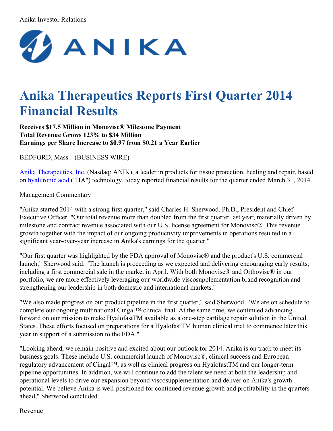#### Anika Investor Relations



# **Anika Therapeutics Reports First Quarter 2014 Financial Results**

**Receives \$17.5 Million in Monovisc® Milestone Payment Total Revenue Grows 123% to \$34 Million Earnings per Share Increase to \$0.97 from \$0.21 a Year Earlier**

BEDFORD, Mass.--(BUSINESS WIRE)--

Anika [Therapeutics,](http://cts.businesswire.com/ct/CT?id=smartlink&url=http%3A%2F%2Fwww.anikatherapeutics.com&esheet=50853820&newsitemid=20140429006995&lan=en-US&anchor=Anika+Therapeutics%2C+Inc.&index=1&md5=de3aeb656bdfa6cb0a37e36b2f58393e) Inc. (Nasdaq: ANIK), a leader in products for tissue protection, healing and repair, based on [hyaluronic](http://cts.businesswire.com/ct/CT?id=smartlink&url=http%3A%2F%2Fwww.anikatherapeutics.com%2Finnovation%2Fhyaluronicacid%2Findex.html&esheet=50853820&newsitemid=20140429006995&lan=en-US&anchor=hyaluronic+acid&index=2&md5=1617a6c0f288ba83f7d6659210b7abfb) acid ("HA") technology, today reported financial results for the quarter ended March 31, 2014.

Management Commentary

"Anika started 2014 with a strong first quarter," said Charles H. Sherwood, Ph.D., President and Chief Executive Officer. "Our total revenue more than doubled from the first quarter last year, materially driven by milestone and contract revenue associated with our U.S. license agreement for Monovisc®. This revenue growth together with the impact of our ongoing productivity improvements in operations resulted in a significant year-over-year increase in Anika's earnings for the quarter."

"Our first quarter was highlighted by the FDA approval of Monovisc® and the product's U.S. commercial launch," Sherwood said. "The launch is proceeding as we expected and delivering encouraging early results, including a first commercial sale in the market in April. With both Monovisc® and Orthovisc® in our portfolio, we are more effectively leveraging our worldwide viscosupplementation brand recognition and strengthening our leadership in both domestic and international markets."

"We also made progress on our product pipeline in the first quarter," said Sherwood. "We are on schedule to complete our ongoing multinational Cingal™ clinical trial. At the same time, we continued advancing forward on our mission to make HyalofastTM available as a one-step cartilage repair solution in the United States. These efforts focused on preparations for a HyalofastTM human clinical trial to commence later this year in support of a submission to the FDA."

"Looking ahead, we remain positive and excited about our outlook for 2014. Anika is on track to meet its business goals. These include U.S. commercial launch of Monovisc®, clinical success and European regulatory advancement of Cingal™, as well as clinical progress on HyalofastTM and our longer-term pipeline opportunities. In addition, we will continue to add the talent we need at both the leadership and operational levels to drive our expansion beyond viscosupplementation and deliver on Anika's growth potential. We believe Anika is well-positioned for continued revenue growth and profitability in the quarters ahead," Sherwood concluded.

Revenue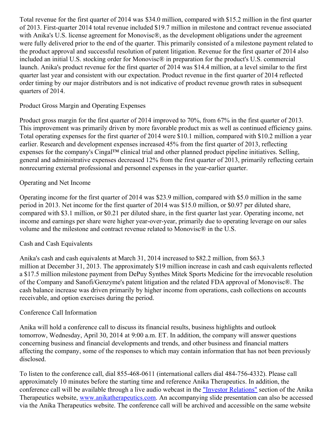Total revenue for the first quarter of 2014 was \$34.0 million, compared with \$15.2 million in the first quarter of 2013. First-quarter 2014 total revenue included \$19.7 million in milestone and contract revenue associated with Anika's U.S. license agreement for Monovisc®, as the development obligations under the agreement were fully delivered prior to the end of the quarter. This primarily consisted of a milestone payment related to the product approval and successful resolution of patent litigation. Revenue for the first quarter of 2014 also included an initial U.S. stocking order for Monovisc® in preparation for the product's U.S. commercial launch. Anika's product revenue for the first quarter of 2014 was \$14.4 million, at a level similar to the first quarter last year and consistent with our expectation. Product revenue in the first quarter of 2014 reflected order timing by our major distributors and is not indicative of product revenue growth rates in subsequent quarters of 2014.

## Product Gross Margin and Operating Expenses

Product gross margin for the first quarter of 2014 improved to 70%, from 67% in the first quarter of 2013. This improvement was primarily driven by more favorable product mix as well as continued efficiency gains. Total operating expenses for the first quarter of 2014 were \$10.1 million, compared with \$10.2 million a year earlier. Research and development expenses increased 45% from the first quarter of 2013, reflecting expenses for the company's Cingal™ clinical trial and other planned product pipeline initiatives. Selling, general and administrative expenses decreased 12% from the first quarter of 2013, primarily reflecting certain nonrecurring external professional and personnel expenses in the year-earlier quarter.

## Operating and Net Income

Operating income for the first quarter of 2014 was \$23.9 million, compared with \$5.0 million in the same period in 2013. Net income for the first quarter of 2014 was \$15.0 million, or \$0.97 per diluted share, compared with \$3.1 million, or \$0.21 per diluted share, in the first quarter last year. Operating income, net income and earnings per share were higher year-over-year, primarily due to operating leverage on our sales volume and the milestone and contract revenue related to Monovisc® in the U.S.

# Cash and Cash Equivalents

Anika's cash and cash equivalents at March 31, 2014 increased to \$82.2 million, from \$63.3 million at December 31, 2013. The approximately \$19 million increase in cash and cash equivalents reflected a \$17.5 million milestone payment from DePuy Synthes Mitek Sports Medicine for the irrevocable resolution of the Company and Sanofi/Genzyme's patent litigation and the related FDA approval of Monovisc®. The cash balance increase was driven primarily by higher income from operations, cash collections on accounts receivable, and option exercises during the period.

#### Conference Call Information

Anika will hold a conference call to discuss its financial results, business highlights and outlook tomorrow, Wednesday, April 30, 2014 at 9:00 a.m. ET. In addition, the company will answer questions concerning business and financial developments and trends, and other business and financial matters affecting the company, some of the responses to which may contain information that has not been previously disclosed.

To listen to the conference call, dial 855-468-0611 (international callers dial 484-756-4332). Please call approximately 10 minutes before the starting time and reference Anika Therapeutics. In addition, the conference call will be available through a live audio webcast in the "Investor [Relations"](http://cts.businesswire.com/ct/CT?id=smartlink&url=http%3A%2F%2Fir.anikatherapeutics.com%2Findex.cfm&esheet=50853820&newsitemid=20140429006995&lan=en-US&anchor=%E2%80%9CInvestor+Relations%E2%80%9D&index=3&md5=c8d76b0d1d36c019bf10413134cf25f9) section of the Anika Therapeutics website, [www.anikatherapeutics.com](http://cts.businesswire.com/ct/CT?id=smartlink&url=http%3A%2F%2Fwww.anikatherapeutics.com%2Findex.html&esheet=50853820&newsitemid=20140429006995&lan=en-US&anchor=www.anikatherapeutics.com&index=4&md5=74fa741e50677217900bbf0e193ec677). An accompanying slide presentation can also be accessed via the Anika Therapeutics website. The conference call will be archived and accessible on the same website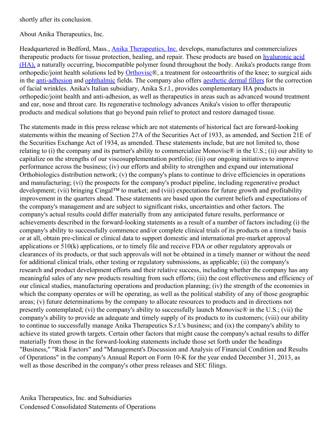shortly after its conclusion.

About Anika Therapeutics, Inc.

Headquartered in Bedford, Mass., Anika [Therapeutics,](http://cts.businesswire.com/ct/CT?id=smartlink&url=http%3A%2F%2Fwww.anikatherapeutics.com&esheet=50853820&newsitemid=20140429006995&lan=en-US&anchor=Anika+Therapeutics%2C+Inc.&index=5&md5=2d0aaa728395ba8f5cd7944832c574c5) Inc. develops, manufactures and commercializes therapeutic products for tissue protection, healing, and repair. These products are based on hyaluronic acid (HA), a naturally occurring, [biocompatible](http://cts.businesswire.com/ct/CT?id=smartlink&url=http%3A%2F%2Fwww.anikatherapeutics.com%2Finnovation%2Fhyaluronicacid%2Findex.html&esheet=50853820&newsitemid=20140429006995&lan=en-US&anchor=hyaluronic+acid+%28HA%29%2C&index=6&md5=c4a1b40fa4292f0ec8f64122b825f42b) polymer found throughout the body. Anika's products range from orthopedic/joint health solutions led by [Orthovisc](http://cts.businesswire.com/ct/CT?id=smartlink&url=http%3A%2F%2Fwww.anikatherapeutics.com%2Fproducts%2FOrthobiologics%2Forthovisc.html&esheet=50853820&newsitemid=20140429006995&lan=en-US&anchor=Orthovisc&index=7&md5=bfe8bc35e33d554bf0f84b0665d244d0)®, a treatment for osteoarthritis of the knee; to surgical aids in the [anti-adhesion](http://cts.businesswire.com/ct/CT?id=smartlink&url=http%3A%2F%2Fwww.anikatherapeutics.com%2Fproducts%2Fsurgical%2Findex.html&esheet=50853820&newsitemid=20140429006995&lan=en-US&anchor=anti-adhesion&index=8&md5=cd3a93e24bc55c5f27b8c5a5b5e8529f) and [ophthalmic](http://cts.businesswire.com/ct/CT?id=smartlink&url=http%3A%2F%2Fwww.anikatherapeutics.com%2Fproducts%2Fophthalmic%2Findex.html&esheet=50853820&newsitemid=20140429006995&lan=en-US&anchor=ophthalmic&index=9&md5=bafe2c641b31b75a3f67baaa0f636d9b) fields. The company also offers [aesthetic](http://cts.businesswire.com/ct/CT?id=smartlink&url=http%3A%2F%2Fwww.anikatherapeutics.com%2Fproducts%2Faesthetics%2Findex.html&esheet=50853820&newsitemid=20140429006995&lan=en-US&anchor=aesthetic+dermal+fillers&index=10&md5=83bc98991452f69c2379727a9ad29a43) dermal fillers for the correction of facial wrinkles. Anika's Italian subsidiary, Anika S.r.l., provides complementary HA products in orthopedic/joint health and anti-adhesion, as well as therapeutics in areas such as advanced wound treatment and ear, nose and throat care. Its regenerative technology advances Anika's vision to offer therapeutic products and medical solutions that go beyond pain relief to protect and restore damaged tissue.

The statements made in this press release which are not statements of historical fact are forward-looking statements within the meaning of Section 27A of the Securities Act of 1933, as amended, and Section 21E of the Securities Exchange Act of 1934, as amended. These statements include, but are not limited to, those relating to (i) the company and its partner's ability to commercialize Monovisc® in the U.S.; (ii) our ability to capitalize on the strengths of our viscosupplementation portfolio; (iii) our ongoing initiatives to improve performance across the business; (iv) our efforts and ability to strengthen and expand our international Orthobiologics distribution network; (v) the company's plans to continue to drive efficiencies in operations and manufacturing; (vi) the prospects for the company's product pipeline, including regenerative product development; (vii) bringing Cingal™ to market; and (viii) expectations for future growth and profitability improvement in the quarters ahead. These statements are based upon the current beliefs and expectations of the company's management and are subject to significant risks, uncertainties and other factors. The company's actual results could differ materially from any anticipated future results, performance or achievements described in the forward-looking statements as a result of a number of factors including (i) the company's ability to successfully commence and/or complete clinical trials of its products on a timely basis or at all, obtain pre-clinical or clinical data to support domestic and international pre-market approval applications or 510(k) applications, or to timely file and receive FDA or other regulatory approvals or clearances of its products, or that such approvals will not be obtained in a timely manner or without the need for additional clinical trials, other testing or regulatory submissions, as applicable; (ii) the company's research and product development efforts and their relative success, including whether the company has any meaningful sales of any new products resulting from such efforts; (iii) the cost effectiveness and efficiency of our clinical studies, manufacturing operations and production planning; (iv) the strength of the economies in which the company operates or will be operating, as well as the political stability of any of those geographic areas; (v) future determinations by the company to allocate resources to products and in directions not presently contemplated; (vi) the company's ability to successfully launch Monovisc® in the U.S.; (vii) the company's ability to provide an adequate and timely supply of its products to its customers; (viii) our ability to continue to successfully manage Anika Therapeutics S.r.l.'s business; and (ix) the company's ability to achieve its stated growth targets. Certain other factors that might cause the company's actual results to differ materially from those in the forward-looking statements include those set forth under the headings "Business," "Risk Factors" and "Management's Discussion and Analysis of Financial Condition and Results of Operations" in the company's Annual Report on Form 10-K for the year ended December 31, 2013, as well as those described in the company's other press releases and SEC filings.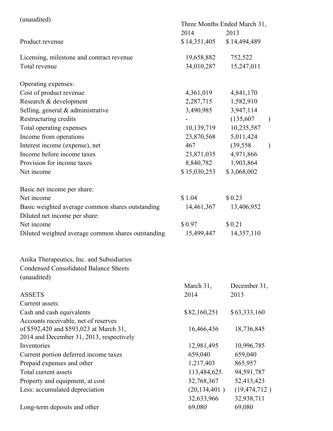| (unaudited)                                                                               | Three Months Ended March 31,<br>2014<br>2013 |                             |
|-------------------------------------------------------------------------------------------|----------------------------------------------|-----------------------------|
| Product revenue                                                                           | \$14,351,405                                 | \$14,494,489                |
| Licensing, milestone and contract revenue                                                 | 19,658,882                                   | 752,522                     |
| Total revenue                                                                             | 34,010,287                                   | 15,247,011                  |
| Operating expenses:                                                                       |                                              |                             |
| Cost of product revenue                                                                   | 4,361,019                                    | 4,841,170                   |
| Research & development                                                                    | 2,287,715                                    | 1,582,910                   |
| Selling, general & administrative                                                         | 3,490,985                                    | 3,947,114                   |
| Restructuring credits                                                                     |                                              | (135, 607)<br>$\mathcal{L}$ |
| Total operating expenses                                                                  | 10,139,719                                   | 10,235,587                  |
| Income from operations                                                                    | 23,870,568                                   | 5,011,424                   |
| Interest income (expense), net                                                            | 467                                          | (39, 558)<br>$\mathcal{E}$  |
| Income before income taxes                                                                | 23,871,035                                   | 4,971,866                   |
| Provision for income taxes                                                                | 8,840,782                                    | 1,903,864                   |
| Net income                                                                                | \$15,030,253                                 | \$3,068,002                 |
| Basic net income per share:                                                               |                                              |                             |
| Net income                                                                                | \$1.04                                       | \$0.23                      |
| Basic weighted average common shares outstanding<br>Diluted net income per share:         | 14,461,367                                   | 13,406,952                  |
| Net income                                                                                | \$0.97                                       | \$0.21                      |
| Diluted weighted average common shares outstanding                                        | 15,499,447                                   | 14,357,110                  |
| Anika Therapeutics, Inc. and Subsidiaries<br><b>Condensed Consolidated Balance Sheets</b> |                                              |                             |
| (unaudited)                                                                               |                                              |                             |
|                                                                                           | March 31,                                    | December 31,                |
| <b>ASSETS</b>                                                                             | 2014                                         | 2013                        |
| Current assets:                                                                           |                                              |                             |
| Cash and cash equivalents                                                                 | \$82,160,251                                 | \$63,333,160                |
| Accounts receivable, net of reserves                                                      |                                              |                             |
| of \$592,420 and \$593,023 at March 31,                                                   | 16,466,436                                   | 18,736,845                  |
| 2014 and December 31, 2013, respectively                                                  |                                              |                             |
| Inventories                                                                               | 12,981,495                                   | 10,996,785                  |
| Current portion deferred income taxes                                                     | 659,040                                      | 659,040                     |
| Prepaid expenses and other                                                                | 1,217,403                                    | 865,957                     |
| Total current assets                                                                      | 113,484,625                                  | 94,591,787                  |
| Property and equipment, at cost                                                           | 52,768,367                                   | 52,413,423                  |
| Less: accumulated depreciation                                                            | (20, 134, 401)                               | (19, 474, 712)              |
|                                                                                           | 32,633,966                                   | 32,938,711                  |
| Long-term deposits and other                                                              | 69,080                                       | 69,080                      |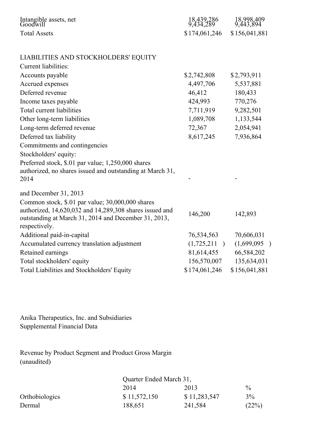| Intangible assets, net<br>Goodwill                                                                                                                                                   | 18,439,286<br>9,434,289 | 18,998,409<br>9,443,894 |
|--------------------------------------------------------------------------------------------------------------------------------------------------------------------------------------|-------------------------|-------------------------|
| <b>Total Assets</b>                                                                                                                                                                  | \$174,061,246           | \$156,041,881           |
| LIABILITIES AND STOCKHOLDERS' EQUITY                                                                                                                                                 |                         |                         |
| Current liabilities:                                                                                                                                                                 |                         |                         |
| Accounts payable                                                                                                                                                                     | \$2,742,808             | \$2,793,911             |
| Accrued expenses                                                                                                                                                                     | 4,497,706               | 5,537,881               |
| Deferred revenue                                                                                                                                                                     | 46,412                  | 180,433                 |
| Income taxes payable                                                                                                                                                                 | 424,993                 | 770,276                 |
| Total current liabilities                                                                                                                                                            | 7,711,919               | 9,282,501               |
| Other long-term liabilities                                                                                                                                                          | 1,089,708               | 1,133,544               |
| Long-term deferred revenue                                                                                                                                                           | 72,367                  | 2,054,941               |
| Deferred tax liability                                                                                                                                                               | 8,617,245               | 7,936,864               |
| Commitments and contingencies                                                                                                                                                        |                         |                         |
| Stockholders' equity:                                                                                                                                                                |                         |                         |
| Preferred stock, \$.01 par value; 1,250,000 shares                                                                                                                                   |                         |                         |
| authorized, no shares issued and outstanding at March 31,                                                                                                                            |                         |                         |
| 2014                                                                                                                                                                                 |                         |                         |
| and December 31, 2013                                                                                                                                                                |                         |                         |
| Common stock, \$.01 par value; 30,000,000 shares<br>authorized, 14,620,032 and 14,289,308 shares issued and<br>outstanding at March 31, 2014 and December 31, 2013,<br>respectively. | 146,200                 | 142,893                 |
| Additional paid-in-capital                                                                                                                                                           | 76,534,563              | 70,606,031              |
| Accumulated currency translation adjustment                                                                                                                                          | (1,725,211)<br>$\big)$  | (1,699,095)<br>$\big)$  |
| Retained earnings                                                                                                                                                                    | 81,614,455              | 66,584,202              |
| Total stockholders' equity                                                                                                                                                           | 156,570,007             | 135,634,031             |
| Total Liabilities and Stockholders' Equity                                                                                                                                           | \$174,061,246           | \$156,041,881           |

Anika Therapeutics, Inc. and Subsidiaries Supplemental Financial Data

Revenue by Product Segment and Product Gross Margin (unaudited)

|                | Quarter Ended March 31, |              |       |
|----------------|-------------------------|--------------|-------|
|                | 2014                    | 2013         | $\%$  |
| Orthobiologics | \$11,572,150            | \$11,283,547 | $3\%$ |
| Dermal         | 188,651                 | 241,584      | (22%) |